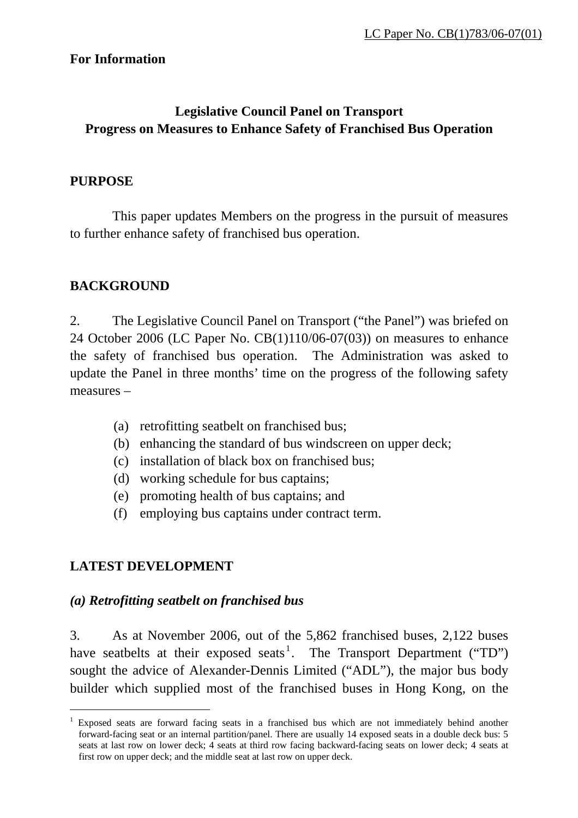### **For Information**

# **Legislative Council Panel on Transport Progress on Measures to Enhance Safety of Franchised Bus Operation**

### **PURPOSE**

 This paper updates Members on the progress in the pursuit of measures to further enhance safety of franchised bus operation.

### **BACKGROUND**

2. The Legislative Council Panel on Transport ("the Panel") was briefed on 24 October 2006 (LC Paper No. CB(1)110/06-07(03)) on measures to enhance the safety of franchised bus operation. The Administration was asked to update the Panel in three months' time on the progress of the following safety measures –

- (a) retrofitting seatbelt on franchised bus;
- (b) enhancing the standard of bus windscreen on upper deck;
- (c) installation of black box on franchised bus;
- (d) working schedule for bus captains;
- (e) promoting health of bus captains; and
- (f) employing bus captains under contract term.

# **LATEST DEVELOPMENT**

 $\overline{a}$ 

### *(a) Retrofitting seatbelt on franchised bus*

3. As at November 2006, out of the 5,862 franchised buses, 2,122 buses have seatbelts at their exposed seats<sup>[1](#page-0-0)</sup>. The Transport Department ("TD") sought the advice of Alexander-Dennis Limited ("ADL"), the major bus body builder which supplied most of the franchised buses in Hong Kong, on the

<span id="page-0-0"></span><sup>1</sup> Exposed seats are forward facing seats in a franchised bus which are not immediately behind another forward-facing seat or an internal partition/panel. There are usually 14 exposed seats in a double deck bus: 5 seats at last row on lower deck; 4 seats at third row facing backward-facing seats on lower deck; 4 seats at first row on upper deck; and the middle seat at last row on upper deck.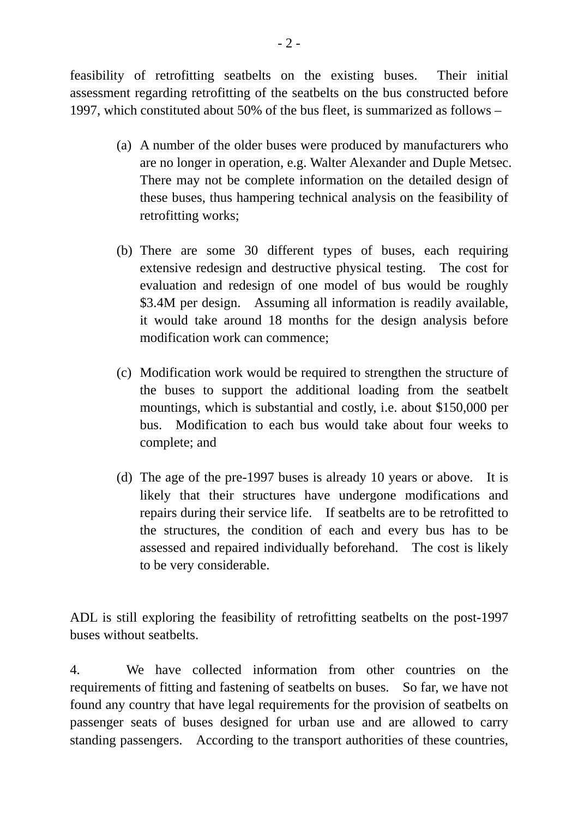feasibility of retrofitting seatbelts on the existing buses. Their initial assessment regarding retrofitting of the seatbelts on the bus constructed before 1997, which constituted about 50% of the bus fleet, is summarized as follows –

- (a) A number of the older buses were produced by manufacturers who are no longer in operation, e.g. Walter Alexander and Duple Metsec. There may not be complete information on the detailed design of these buses, thus hampering technical analysis on the feasibility of retrofitting works;
- (b) There are some 30 different types of buses, each requiring extensive redesign and destructive physical testing. The cost for evaluation and redesign of one model of bus would be roughly \$3.4M per design. Assuming all information is readily available, it would take around 18 months for the design analysis before modification work can commence;
- (c) Modification work would be required to strengthen the structure of the buses to support the additional loading from the seatbelt mountings, which is substantial and costly, i.e. about \$150,000 per bus. Modification to each bus would take about four weeks to complete; and
- (d) The age of the pre-1997 buses is already 10 years or above. It is likely that their structures have undergone modifications and repairs during their service life. If seatbelts are to be retrofitted to the structures, the condition of each and every bus has to be assessed and repaired individually beforehand. The cost is likely to be very considerable.

ADL is still exploring the feasibility of retrofitting seatbelts on the post-1997 buses without seatbelts.

4. We have collected information from other countries on the requirements of fitting and fastening of seatbelts on buses. So far, we have not found any country that have legal requirements for the provision of seatbelts on passenger seats of buses designed for urban use and are allowed to carry standing passengers. According to the transport authorities of these countries,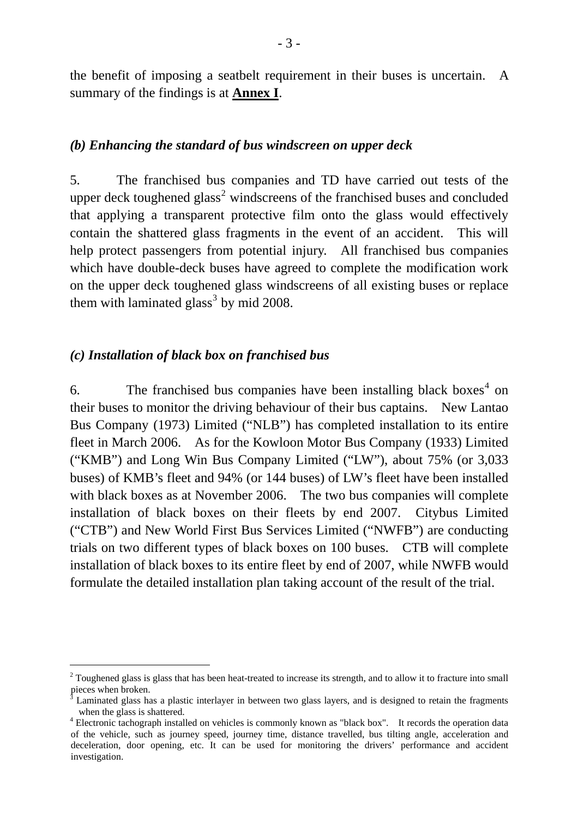the benefit of imposing a seatbelt requirement in their buses is uncertain. A summary of the findings is at **Annex I**.

#### *(b) Enhancing the standard of bus windscreen on upper deck*

5. The franchised bus companies and TD have carried out tests of the upper deck toughened glass<sup>[2](#page-2-0)</sup> windscreens of the franchised buses and concluded that applying a transparent protective film onto the glass would effectively contain the shattered glass fragments in the event of an accident. This will help protect passengers from potential injury. All franchised bus companies which have double-deck buses have agreed to complete the modification work on the upper deck toughened glass windscreens of all existing buses or replace them with laminated glass<sup>[3](#page-2-1)</sup> by mid 2008.

#### *(c) Installation of black box on franchised bus*

 $\overline{a}$ 

6. The franchised bus companies have been installing black boxes<sup>[4](#page-2-2)</sup> on their buses to monitor the driving behaviour of their bus captains. New Lantao Bus Company (1973) Limited ("NLB") has completed installation to its entire fleet in March 2006. As for the Kowloon Motor Bus Company (1933) Limited ("KMB") and Long Win Bus Company Limited ("LW"), about 75% (or 3,033 buses) of KMB's fleet and 94% (or 144 buses) of LW's fleet have been installed with black boxes as at November 2006. The two bus companies will complete installation of black boxes on their fleets by end 2007. Citybus Limited ("CTB") and New World First Bus Services Limited ("NWFB") are conducting trials on two different types of black boxes on 100 buses. CTB will complete installation of black boxes to its entire fleet by end of 2007, while NWFB would formulate the detailed installation plan taking account of the result of the trial.

<span id="page-2-0"></span> $2^2$  Toughened glass is glass that has been heat-treated to increase its strength, and to allow it to fracture into small pieces when broken.

<span id="page-2-1"></span><sup>3</sup> Laminated glass has a plastic interlayer in between two glass layers, and is designed to retain the fragments when the glass is shattered.

<span id="page-2-2"></span><sup>&</sup>lt;sup>4</sup> Electronic tachograph installed on vehicles is commonly known as "black box". It records the operation data of the vehicle, such as journey speed, journey time, distance travelled, bus tilting angle, acceleration and deceleration, door opening, etc. It can be used for monitoring the drivers' performance and accident investigation.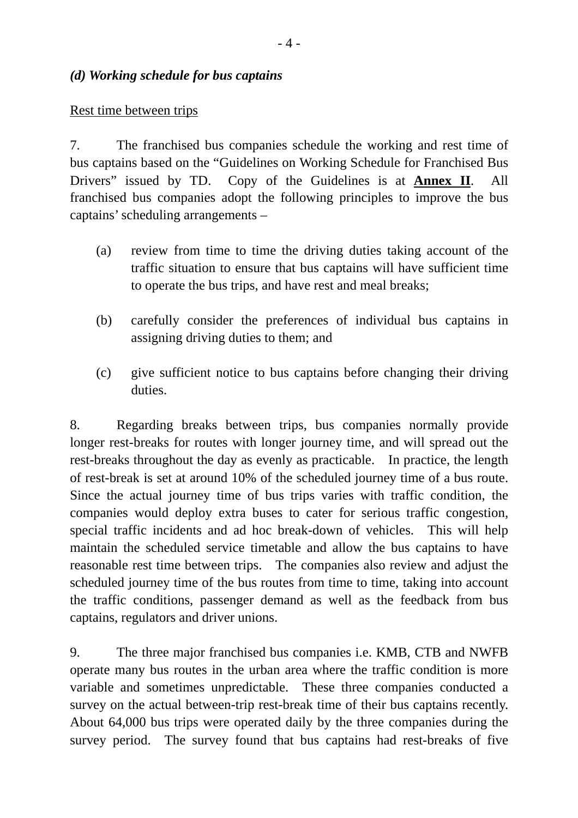#### *(d) Working schedule for bus captains*

#### Rest time between trips

7. The franchised bus companies schedule the working and rest time of bus captains based on the "Guidelines on Working Schedule for Franchised Bus Drivers" issued by TD. Copy of the Guidelines is at **Annex II**. All franchised bus companies adopt the following principles to improve the bus captains' scheduling arrangements –

- (a) review from time to time the driving duties taking account of the traffic situation to ensure that bus captains will have sufficient time to operate the bus trips, and have rest and meal breaks;
- (b) carefully consider the preferences of individual bus captains in assigning driving duties to them; and
- (c) give sufficient notice to bus captains before changing their driving duties.

8. Regarding breaks between trips, bus companies normally provide longer rest-breaks for routes with longer journey time, and will spread out the rest-breaks throughout the day as evenly as practicable. In practice, the length of rest-break is set at around 10% of the scheduled journey time of a bus route. Since the actual journey time of bus trips varies with traffic condition, the companies would deploy extra buses to cater for serious traffic congestion, special traffic incidents and ad hoc break-down of vehicles. This will help maintain the scheduled service timetable and allow the bus captains to have reasonable rest time between trips. The companies also review and adjust the scheduled journey time of the bus routes from time to time, taking into account the traffic conditions, passenger demand as well as the feedback from bus captains, regulators and driver unions.

9. The three major franchised bus companies i.e. KMB, CTB and NWFB operate many bus routes in the urban area where the traffic condition is more variable and sometimes unpredictable. These three companies conducted a survey on the actual between-trip rest-break time of their bus captains recently. About 64,000 bus trips were operated daily by the three companies during the survey period. The survey found that bus captains had rest-breaks of five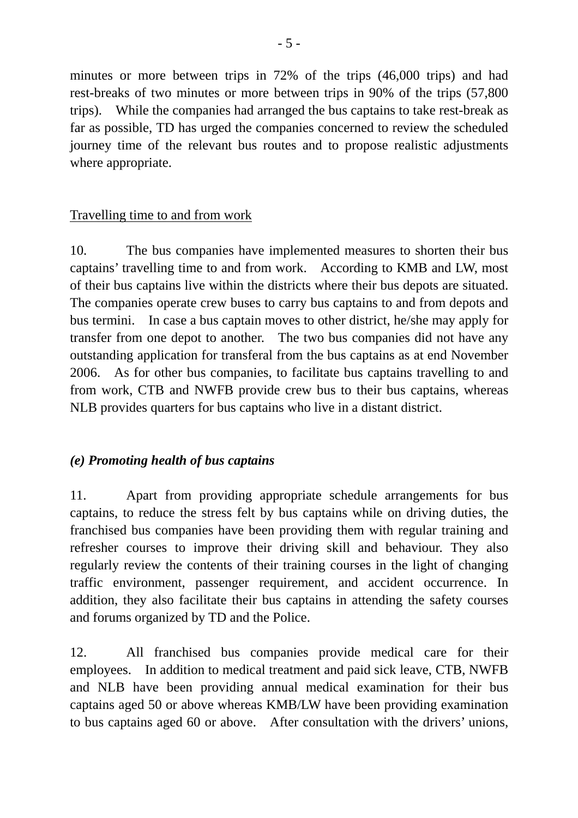minutes or more between trips in 72% of the trips (46,000 trips) and had rest-breaks of two minutes or more between trips in 90% of the trips (57,800 trips). While the companies had arranged the bus captains to take rest-break as far as possible, TD has urged the companies concerned to review the scheduled journey time of the relevant bus routes and to propose realistic adjustments where appropriate.

# Travelling time to and from work

10. The bus companies have implemented measures to shorten their bus captains' travelling time to and from work. According to KMB and LW, most of their bus captains live within the districts where their bus depots are situated. The companies operate crew buses to carry bus captains to and from depots and bus termini. In case a bus captain moves to other district, he/she may apply for transfer from one depot to another. The two bus companies did not have any outstanding application for transferal from the bus captains as at end November 2006. As for other bus companies, to facilitate bus captains travelling to and from work, CTB and NWFB provide crew bus to their bus captains, whereas NLB provides quarters for bus captains who live in a distant district.

# *(e) Promoting health of bus captains*

11. Apart from providing appropriate schedule arrangements for bus captains, to reduce the stress felt by bus captains while on driving duties, the franchised bus companies have been providing them with regular training and refresher courses to improve their driving skill and behaviour. They also regularly review the contents of their training courses in the light of changing traffic environment, passenger requirement, and accident occurrence. In addition, they also facilitate their bus captains in attending the safety courses and forums organized by TD and the Police.

12. All franchised bus companies provide medical care for their employees. In addition to medical treatment and paid sick leave, CTB, NWFB and NLB have been providing annual medical examination for their bus captains aged 50 or above whereas KMB/LW have been providing examination to bus captains aged 60 or above. After consultation with the drivers' unions,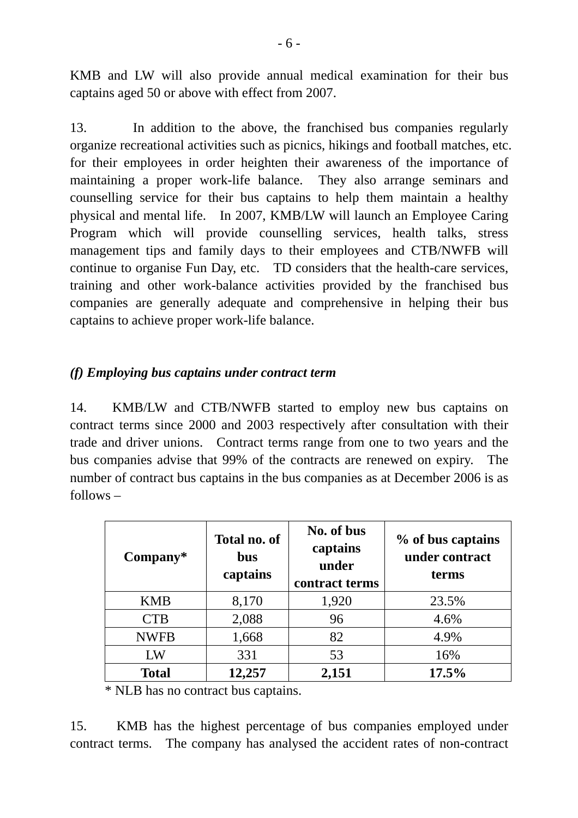KMB and LW will also provide annual medical examination for their bus captains aged 50 or above with effect from 2007.

13. In addition to the above, the franchised bus companies regularly organize recreational activities such as picnics, hikings and football matches, etc. for their employees in order heighten their awareness of the importance of maintaining a proper work-life balance. They also arrange seminars and counselling service for their bus captains to help them maintain a healthy physical and mental life. In 2007, KMB/LW will launch an Employee Caring Program which will provide counselling services, health talks, stress management tips and family days to their employees and CTB/NWFB will continue to organise Fun Day, etc. TD considers that the health-care services, training and other work-balance activities provided by the franchised bus companies are generally adequate and comprehensive in helping their bus captains to achieve proper work-life balance.

## *(f) Employing bus captains under contract term*

14. KMB/LW and CTB/NWFB started to employ new bus captains on contract terms since 2000 and 2003 respectively after consultation with their trade and driver unions. Contract terms range from one to two years and the bus companies advise that 99% of the contracts are renewed on expiry. The number of contract bus captains in the bus companies as at December 2006 is as follows –

| $Compary*$   | Total no. of<br><b>bus</b><br>captains | No. of bus<br>captains<br>under<br>contract terms | % of bus captains<br>under contract<br>terms |
|--------------|----------------------------------------|---------------------------------------------------|----------------------------------------------|
| <b>KMB</b>   | 8,170                                  | 1,920                                             | 23.5%                                        |
| <b>CTB</b>   | 2,088                                  | 96                                                | 4.6%                                         |
| <b>NWFB</b>  | 1,668                                  | 82                                                | 4.9%                                         |
| LW           | 331                                    | 53                                                | 16%                                          |
| <b>Total</b> | 12,257                                 | 2,151                                             | 17.5%                                        |

\* NLB has no contract bus captains.

15. KMB has the highest percentage of bus companies employed under contract terms. The company has analysed the accident rates of non-contract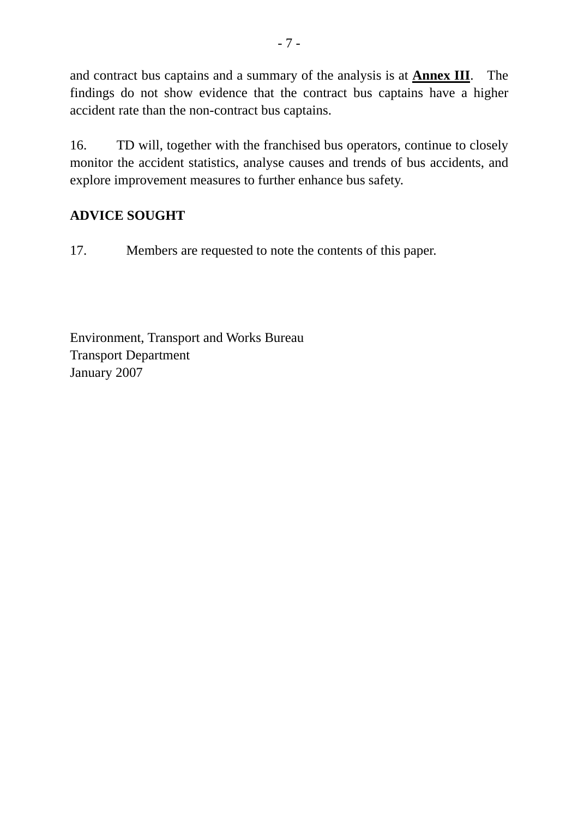and contract bus captains and a summary of the analysis is at **Annex III**. The findings do not show evidence that the contract bus captains have a higher accident rate than the non-contract bus captains.

16. TD will, together with the franchised bus operators, continue to closely monitor the accident statistics, analyse causes and trends of bus accidents, and explore improvement measures to further enhance bus safety.

# **ADVICE SOUGHT**

17. Members are requested to note the contents of this paper.

Environment, Transport and Works Bureau Transport Department January 2007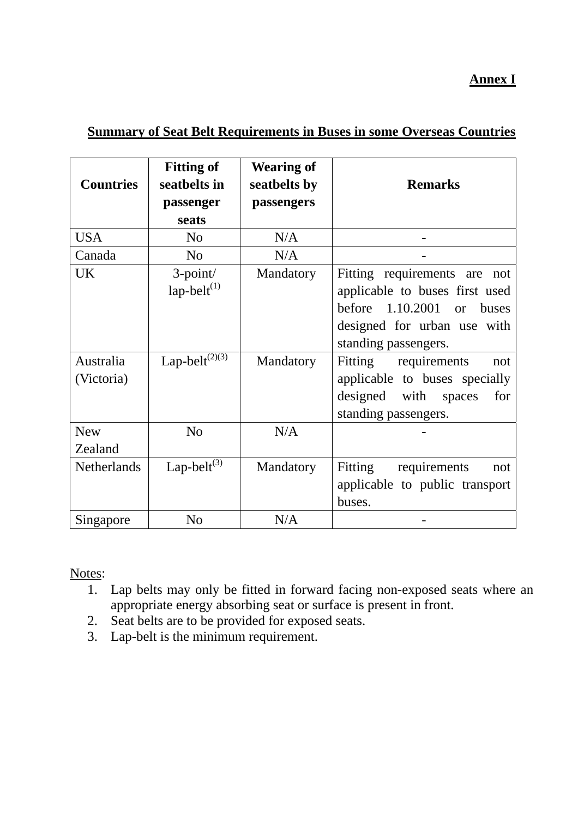## **Annex I**

### **Summary of Seat Belt Requirements in Buses in some Overseas Countries**

| <b>Countries</b>                     | <b>Fitting of</b><br>seatbelts in<br>passenger<br>seats            | <b>Wearing of</b><br>seatbelts by<br>passengers | <b>Remarks</b>                                                                                                                                                                                                                                                                            |
|--------------------------------------|--------------------------------------------------------------------|-------------------------------------------------|-------------------------------------------------------------------------------------------------------------------------------------------------------------------------------------------------------------------------------------------------------------------------------------------|
| <b>USA</b>                           | N <sub>o</sub>                                                     | N/A                                             |                                                                                                                                                                                                                                                                                           |
| Canada                               | N <sub>o</sub>                                                     | N/A                                             |                                                                                                                                                                                                                                                                                           |
| <b>UK</b><br>Australia<br>(Victoria) | $3$ -point/<br>$lap-belt^{(1)}$<br>Lap-belt $^{(2)\overline{(3)}}$ | Mandatory<br>Mandatory                          | Fitting requirements are<br>not<br>applicable to buses first used<br>before 1.10.2001<br>buses<br><b>or</b><br>designed for urban use with<br>standing passengers.<br>Fitting requirements<br>not<br>applicable to buses specially<br>designed with spaces<br>for<br>standing passengers. |
| <b>New</b>                           | N <sub>o</sub>                                                     | N/A                                             |                                                                                                                                                                                                                                                                                           |
| Zealand                              |                                                                    |                                                 |                                                                                                                                                                                                                                                                                           |
| Netherlands                          | Lap-belt $^{(3)}$                                                  | Mandatory                                       | Fitting requirements<br>not<br>applicable to public transport<br>buses.                                                                                                                                                                                                                   |
| Singapore                            | N <sub>o</sub>                                                     | N/A                                             |                                                                                                                                                                                                                                                                                           |

Notes:

- 1. Lap belts may only be fitted in forward facing non-exposed seats where an appropriate energy absorbing seat or surface is present in front.
- 2. Seat belts are to be provided for exposed seats.
- 3. Lap-belt is the minimum requirement.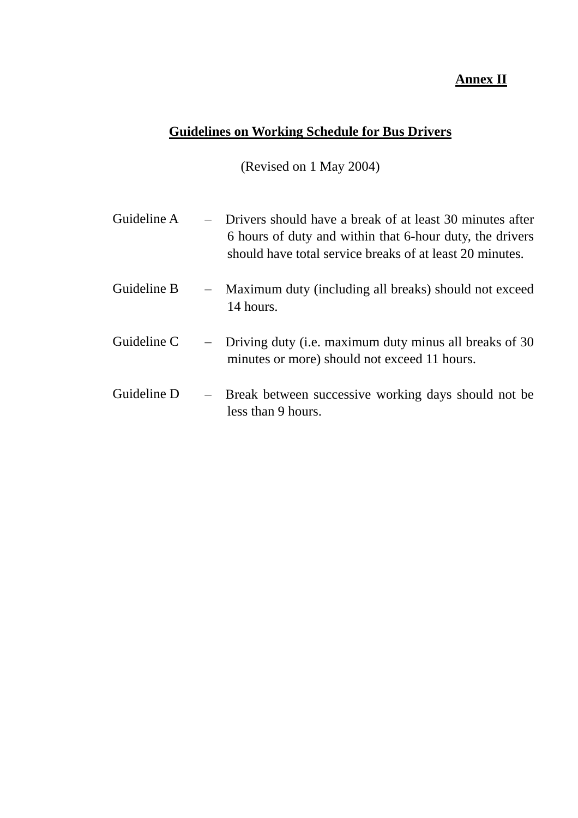# **Annex II**

# **Guidelines on Working Schedule for Bus Drivers**

(Revised on 1 May 2004)

| Guideline A | - Drivers should have a break of at least 30 minutes after<br>6 hours of duty and within that 6-hour duty, the drivers<br>should have total service breaks of at least 20 minutes. |
|-------------|------------------------------------------------------------------------------------------------------------------------------------------------------------------------------------|
| Guideline B | - Maximum duty (including all breaks) should not exceed<br>14 hours.                                                                                                               |
| Guideline C | - Driving duty (i.e. maximum duty minus all breaks of 30<br>minutes or more) should not exceed 11 hours.                                                                           |
| Guideline D | - Break between successive working days should not be<br>less than 9 hours.                                                                                                        |